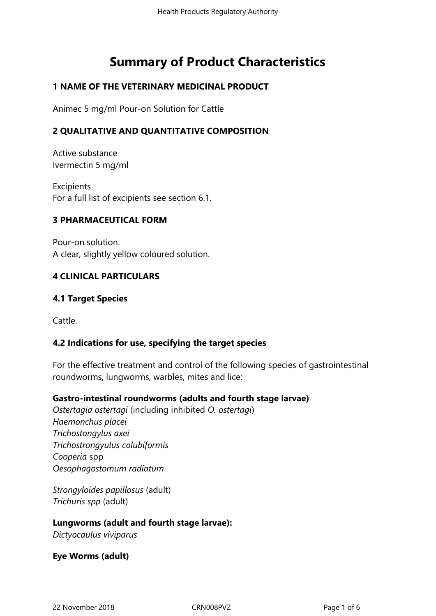# **Summary of Product Characteristics**

#### **1 NAME OF THE VETERINARY MEDICINAL PRODUCT**

Animec 5 mg/ml Pour-on Solution for Cattle

#### **2 QUALITATIVE AND QUANTITATIVE COMPOSITION**

Active substance Ivermectin 5 mg/ml

**Excipients** For a full list of excipients see section 6.1.

#### **3 PHARMACEUTICAL FORM**

Pour-on solution. A clear, slightly yellow coloured solution.

#### **4 CLINICAL PARTICULARS**

#### **4.1 Target Species**

Cattle.

#### **4.2 Indications for use, specifying the target species**

For the effective treatment and control of the following species of gastrointestinal roundworms, lungworms, warbles, mites and lice:

#### **Gastro-intestinal roundworms (adults and fourth stage larvae)**

*Ostertagia ostertagi* (including inhibited *O. ostertagi*) *Haemonchus placei Trichostongylus axei Trichostrongyulus colubiformis Cooperia* spp *Oesophagostomum radiatum* 

*Strongyloides papillosus* (adult) *Trichuris spp* (adult)

#### **Lungworms (adult and fourth stage larvae):**

*Dictyocaulus viviparus*

**Eye Worms (adult)**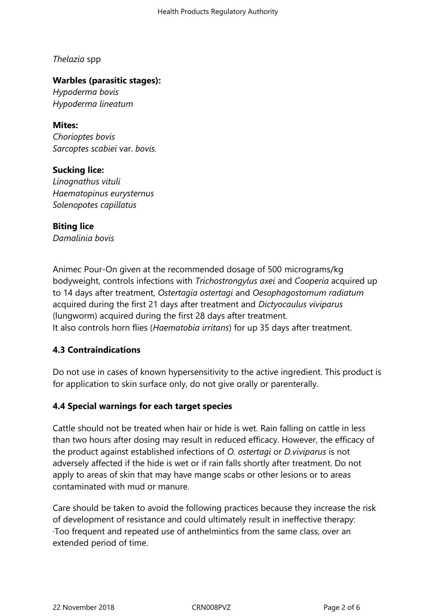*Thelazia* spp

#### **Warbles (parasitic stages):**

*Hypoderma bovis Hypoderma lineatum*

**Mites:**

*Chorioptes bovis Sarcoptes scabiei* var. *bovis.*

## **Sucking lice:**

*Linognathus vituli Haematopinus eurysternus Solenopotes capillatus*

# **Biting lice**

*Damalinia bovis*

Animec Pour-On given at the recommended dosage of 500 micrograms/kg bodyweight, controls infections with *Trichostrongylus axei* and *Cooperia* acquired up to 14 days after treatment, *Ostertagia ostertagi* and *Oesophagostomum radiatum* acquired during the first 21 days after treatment and *Dictyocaulus viviparus* (lungworm) acquired during the first 28 days after treatment. It also controls horn flies (*Haematobia irritans*) for up 35 days after treatment.

## **4.3 Contraindications**

Do not use in cases of known hypersensitivity to the active ingredient. This product is for application to skin surface only, do not give orally or parenterally.

## **4.4 Special warnings for each target species**

Cattle should not be treated when hair or hide is wet. Rain falling on cattle in less than two hours after dosing may result in reduced efficacy. However, the efficacy of the product against established infections of *O. ostertagi* or *D.viviparus* is not adversely affected if the hide is wet or if rain falls shortly after treatment. Do not apply to areas of skin that may have mange scabs or other lesions or to areas contaminated with mud or manure.

Care should be taken to avoid the following practices because they increase the risk of development of resistance and could ultimately result in ineffective therapy: ·Too frequent and repeated use of anthelmintics from the same class, over an extended period of time.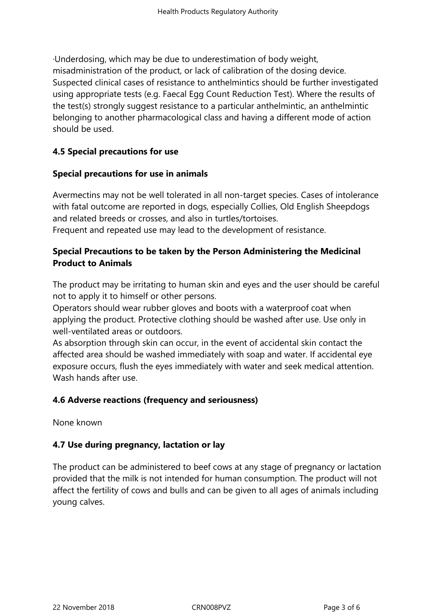·Underdosing, which may be due to underestimation of body weight, misadministration of the product, or lack of calibration of the dosing device. Suspected clinical cases of resistance to anthelmintics should be further investigated using appropriate tests (e.g. Faecal Egg Count Reduction Test). Where the results of the test(s) strongly suggest resistance to a particular anthelmintic, an anthelmintic belonging to another pharmacological class and having a different mode of action should be used.

#### **4.5 Special precautions for use**

#### **Special precautions for use in animals**

Avermectins may not be well tolerated in all non-target species. Cases of intolerance with fatal outcome are reported in dogs, especially Collies, Old English Sheepdogs and related breeds or crosses, and also in turtles/tortoises. Frequent and repeated use may lead to the development of resistance.

#### **Special Precautions to be taken by the Person Administering the Medicinal Product to Animals**

The product may be irritating to human skin and eyes and the user should be careful not to apply it to himself or other persons.

Operators should wear rubber gloves and boots with a waterproof coat when applying the product. Protective clothing should be washed after use. Use only in well-ventilated areas or outdoors.

As absorption through skin can occur, in the event of accidental skin contact the affected area should be washed immediately with soap and water. If accidental eye exposure occurs, flush the eyes immediately with water and seek medical attention. Wash hands after use.

#### **4.6 Adverse reactions (frequency and seriousness)**

None known

#### **4.7 Use during pregnancy, lactation or lay**

The product can be administered to beef cows at any stage of pregnancy or lactation provided that the milk is not intended for human consumption. The product will not affect the fertility of cows and bulls and can be given to all ages of animals including young calves.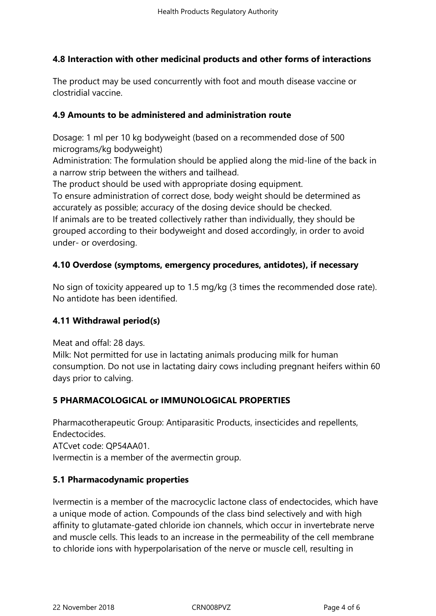# **4.8 Interaction with other medicinal products and other forms of interactions**

The product may be used concurrently with foot and mouth disease vaccine or clostridial vaccine.

# **4.9 Amounts to be administered and administration route**

Dosage: 1 ml per 10 kg bodyweight (based on a recommended dose of 500 micrograms/kg bodyweight)

Administration: The formulation should be applied along the mid-line of the back in a narrow strip between the withers and tailhead.

The product should be used with appropriate dosing equipment.

To ensure administration of correct dose, body weight should be determined as accurately as possible; accuracy of the dosing device should be checked.

If animals are to be treated collectively rather than individually, they should be grouped according to their bodyweight and dosed accordingly, in order to avoid under- or overdosing.

# **4.10 Overdose (symptoms, emergency procedures, antidotes), if necessary**

No sign of toxicity appeared up to 1.5 mg/kg (3 times the recommended dose rate). No antidote has been identified.

## **4.11 Withdrawal period(s)**

Meat and offal: 28 days.

Milk: Not permitted for use in lactating animals producing milk for human consumption. Do not use in lactating dairy cows including pregnant heifers within 60 days prior to calving.

# **5 PHARMACOLOGICAL or IMMUNOLOGICAL PROPERTIES**

Pharmacotherapeutic Group: Antiparasitic Products, insecticides and repellents, Endectocides.

ATCvet code: QP54AA01.

Ivermectin is a member of the avermectin group.

## **5.1 Pharmacodynamic properties**

Ivermectin is a member of the macrocyclic lactone class of endectocides, which have a unique mode of action. Compounds of the class bind selectively and with high affinity to glutamate-gated chloride ion channels, which occur in invertebrate nerve and muscle cells. This leads to an increase in the permeability of the cell membrane to chloride ions with hyperpolarisation of the nerve or muscle cell, resulting in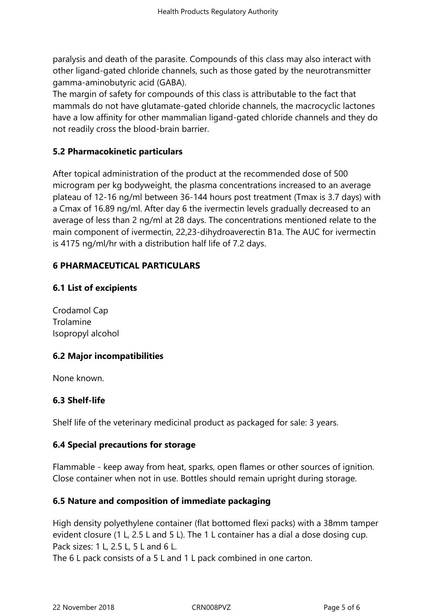paralysis and death of the parasite. Compounds of this class may also interact with other ligand-gated chloride channels, such as those gated by the neurotransmitter gamma-aminobutyric acid (GABA).

The margin of safety for compounds of this class is attributable to the fact that mammals do not have glutamate-gated chloride channels, the macrocyclic lactones have a low affinity for other mammalian ligand-gated chloride channels and they do not readily cross the blood-brain barrier.

# **5.2 Pharmacokinetic particulars**

After topical administration of the product at the recommended dose of 500 microgram per kg bodyweight, the plasma concentrations increased to an average plateau of 12-16 ng/ml between 36-144 hours post treatment (Tmax is 3.7 days) with a Cmax of 16.89 ng/ml. After day 6 the ivermectin levels gradually decreased to an average of less than 2 ng/ml at 28 days. The concentrations mentioned relate to the main component of ivermectin, 22,23-dihydroaverectin B1a. The AUC for ivermectin is 4175 ng/ml/hr with a distribution half life of 7.2 days.

# **6 PHARMACEUTICAL PARTICULARS**

# **6.1 List of excipients**

Crodamol Cap Trolamine Isopropyl alcohol

## **6.2 Major incompatibilities**

None known.

## **6.3 Shelf-life**

Shelf life of the veterinary medicinal product as packaged for sale: 3 years.

## **6.4 Special precautions for storage**

Flammable - keep away from heat, sparks, open flames or other sources of ignition. Close container when not in use. Bottles should remain upright during storage.

# **6.5 Nature and composition of immediate packaging**

High density polyethylene container (flat bottomed flexi packs) with a 38mm tamper evident closure (1 L, 2.5 L and 5 L). The 1 L container has a dial a dose dosing cup. Pack sizes: 1 L, 2.5 L, 5 L and 6 L.

The 6 L pack consists of a 5 L and 1 L pack combined in one carton.